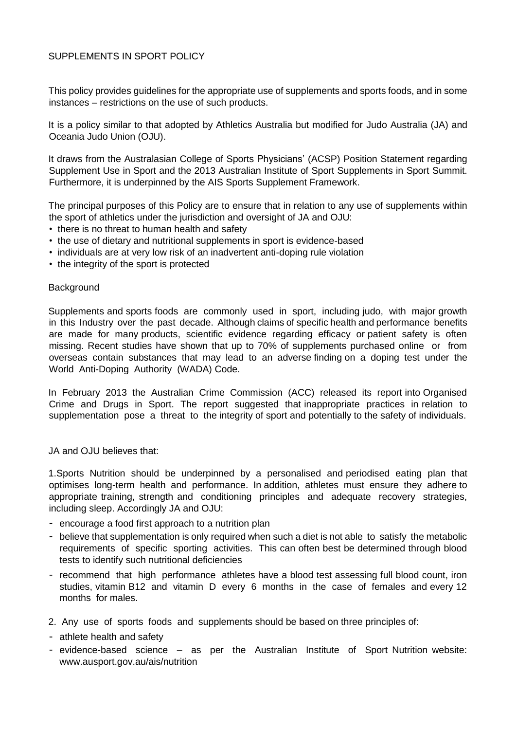## SUPPLEMENTS IN SPORT POLICY

This policy provides guidelines for the appropriate use of supplements and sports foods, and in some instances – restrictions on the use of such products.

It is a policy similar to that adopted by Athletics Australia but modified for Judo Australia (JA) and Oceania Judo Union (OJU).

It draws from the Australasian College of Sports Physicians' (ACSP) Position Statement regarding Supplement Use in Sport and the 2013 Australian Institute of Sport Supplements in Sport Summit. Furthermore, it is underpinned by the AIS Sports Supplement Framework.

The principal purposes of this Policy are to ensure that in relation to any use of supplements within the sport of athletics under the jurisdiction and oversight of JA and OJU:

- there is no threat to human health and safety
- the use of dietary and nutritional supplements in sport is evidence-based
- individuals are at very low risk of an inadvertent anti-doping rule violation
- the integrity of the sport is protected

## **Background**

Supplements and sports foods are commonly used in sport, including judo, with major growth in this Industry over the past decade. Although claims of specific health and performance benefits are made for many products, scientific evidence regarding efficacy or patient safety is often missing. Recent studies have shown that up to 70% of supplements purchased online or from overseas contain substances that may lead to an adverse finding on a doping test under the World Anti-Doping Authority (WADA) Code.

In February 2013 the Australian Crime Commission (ACC) released its report into Organised Crime and Drugs in Sport. The report suggested that inappropriate practices in relation to supplementation pose a threat to the integrity of sport and potentially to the safety of individuals.

## JA and OJU believes that:

1.Sports Nutrition should be underpinned by a personalised and periodised eating plan that optimises long-term health and performance. In addition, athletes must ensure they adhere to appropriate training, strength and conditioning principles and adequate recovery strategies, including sleep. Accordingly JA and OJU:

- encourage a food first approach to a nutrition plan
- believe that supplementation is only required when such a diet is not able to satisfy the metabolic requirements of specific sporting activities. This can often best be determined through blood tests to identify such nutritional deficiencies
- recommend that high performance athletes have a blood test assessing full blood count, iron studies, vitamin B12 and vitamin D every 6 months in the case of females and every 12 months for males.
- 2. Any use of sports foods and supplements should be based on three principles of:
- athlete health and safety
- evidence-based science as per the Australian Institute of Sport Nutrition website: www.ausport.gov.au/ais/nutrition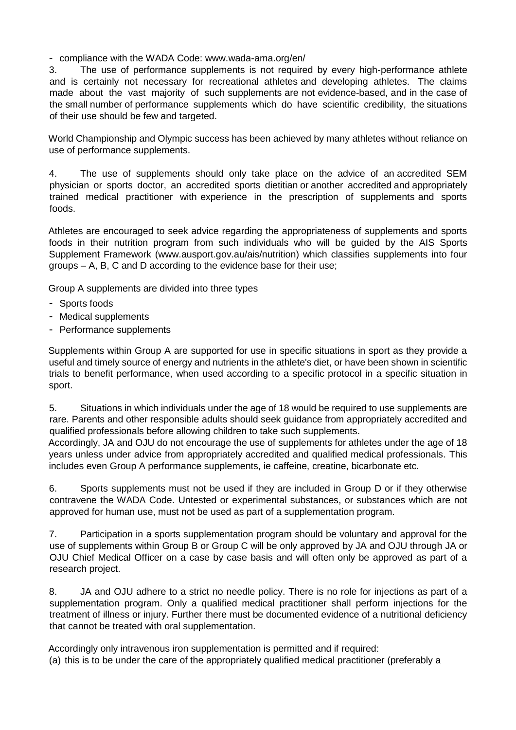## - compliance with the WADA Code: www.wada-ama.org/en/

3. The use of performance supplements is not required by every high-performance athlete and is certainly not necessary for recreational athletes and developing athletes. The claims made about the vast majority of such supplements are not evidence-based, and in the case of the small number of performance supplements which do have scientific credibility, the situations of their use should be few and targeted.

World Championship and Olympic success has been achieved by many athletes without reliance on use of performance supplements.

4. The use of supplements should only take place on the advice of an accredited SEM physician or sports doctor, an accredited sports dietitian or another accredited and appropriately trained medical practitioner with experience in the prescription of supplements and sports foods.

Athletes are encouraged to seek advice regarding the appropriateness of supplements and sports foods in their nutrition program from such individuals who will be guided by the AIS Sports Supplement Framework (www.ausport.gov.au/ais/nutrition) which classifies supplements into four groups – A, B, C and D according to the evidence base for their use;

Group A supplements are divided into three types

- Sports foods
- Medical supplements
- Performance supplements

Supplements within Group A are supported for use in specific situations in sport as they provide a useful and timely source of energy and nutrients in the athlete's diet, or have been shown in scientific trials to benefit performance, when used according to a specific protocol in a specific situation in sport.

5. Situations in which individuals under the age of 18 would be required to use supplements are rare. Parents and other responsible adults should seek guidance from appropriately accredited and qualified professionals before allowing children to take such supplements.

Accordingly, JA and OJU do not encourage the use of supplements for athletes under the age of 18 years unless under advice from appropriately accredited and qualified medical professionals. This includes even Group A performance supplements, ie caffeine, creatine, bicarbonate etc.

6. Sports supplements must not be used if they are included in Group D or if they otherwise contravene the WADA Code. Untested or experimental substances, or substances which are not approved for human use, must not be used as part of a supplementation program.

7. Participation in a sports supplementation program should be voluntary and approval for the use of supplements within Group B or Group C will be only approved by JA and OJU through JA or OJU Chief Medical Officer on a case by case basis and will often only be approved as part of a research project.

8. JA and OJU adhere to a strict no needle policy. There is no role for injections as part of a supplementation program. Only a qualified medical practitioner shall perform injections for the treatment of illness or injury. Further there must be documented evidence of a nutritional deficiency that cannot be treated with oral supplementation.

Accordingly only intravenous iron supplementation is permitted and if required: (a) this is to be under the care of the appropriately qualified medical practitioner (preferably a